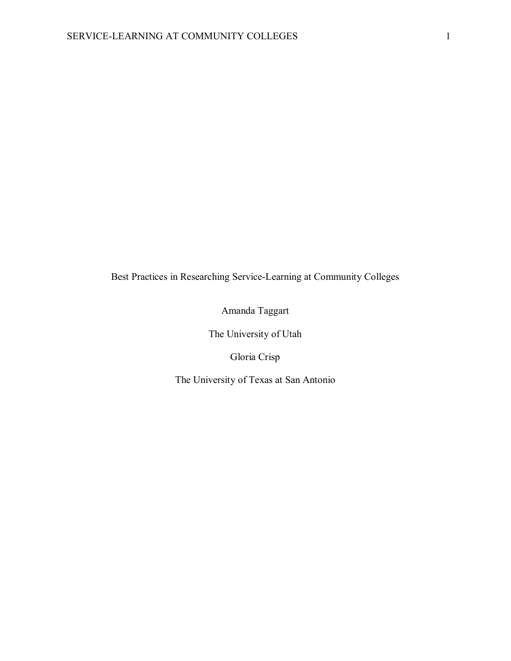Best Practices in Researching Service-Learning at Community Colleges

Amanda Taggart

The University of Utah

Gloria Crisp

The University of Texas at San Antonio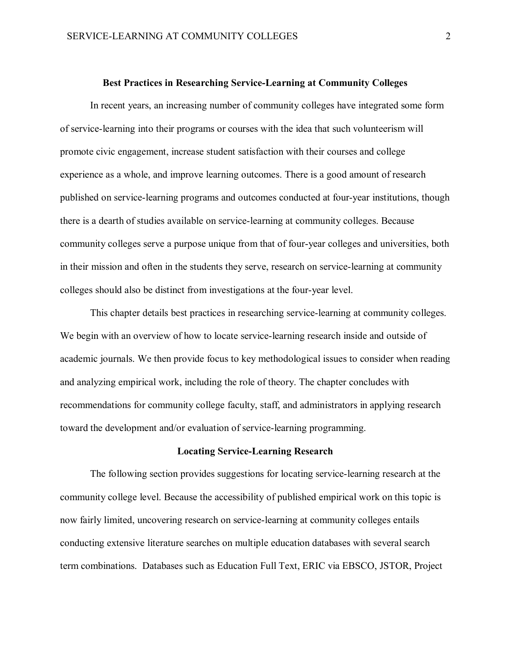#### **Best Practices in Researching Service-Learning at Community Colleges**

In recent years, an increasing number of community colleges have integrated some form of service-learning into their programs or courses with the idea that such volunteerism will promote civic engagement, increase student satisfaction with their courses and college experience as a whole, and improve learning outcomes. There is a good amount of research published on service-learning programs and outcomes conducted at four-year institutions, though there is a dearth of studies available on service-learning at community colleges. Because community colleges serve a purpose unique from that of four-year colleges and universities, both in their mission and often in the students they serve, research on service-learning at community colleges should also be distinct from investigations at the four-year level.

This chapter details best practices in researching service-learning at community colleges. We begin with an overview of how to locate service-learning research inside and outside of academic journals. We then provide focus to key methodological issues to consider when reading and analyzing empirical work, including the role of theory. The chapter concludes with recommendations for community college faculty, staff, and administrators in applying research toward the development and/or evaluation of service-learning programming.

### **Locating Service-Learning Research**

The following section provides suggestions for locating service-learning research at the community college level. Because the accessibility of published empirical work on this topic is now fairly limited, uncovering research on service-learning at community colleges entails conducting extensive literature searches on multiple education databases with several search term combinations. Databases such as Education Full Text, ERIC via EBSCO, JSTOR, Project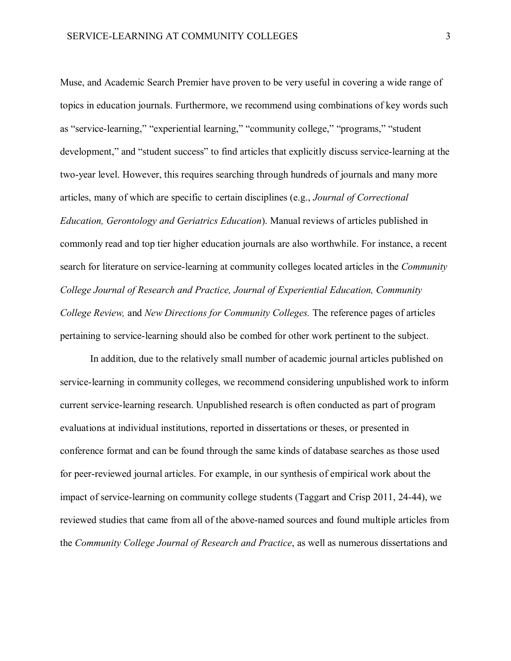Muse, and Academic Search Premier have proven to be very useful in covering a wide range of topics in education journals. Furthermore, we recommend using combinations of key words such as "service-learning," "experiential learning," "community college," "programs," "student development," and "student success" to find articles that explicitly discuss service-learning at the two-year level. However, this requires searching through hundreds of journals and many more articles, many of which are specific to certain disciplines (e.g., *Journal of Correctional Education, Gerontology and Geriatrics Education*). Manual reviews of articles published in commonly read and top tier higher education journals are also worthwhile. For instance, a recent search for literature on service-learning at community colleges located articles in the *Community College Journal of Research and Practice, Journal of Experiential Education, Community College Review,* and *New Directions for Community Colleges.* The reference pages of articles pertaining to service-learning should also be combed for other work pertinent to the subject.

In addition, due to the relatively small number of academic journal articles published on service-learning in community colleges, we recommend considering unpublished work to inform current service-learning research. Unpublished research is often conducted as part of program evaluations at individual institutions, reported in dissertations or theses, or presented in conference format and can be found through the same kinds of database searches as those used for peer-reviewed journal articles. For example, in our synthesis of empirical work about the impact of service-learning on community college students (Taggart and Crisp 2011, 24-44), we reviewed studies that came from all of the above-named sources and found multiple articles from the *Community College Journal of Research and Practice*, as well as numerous dissertations and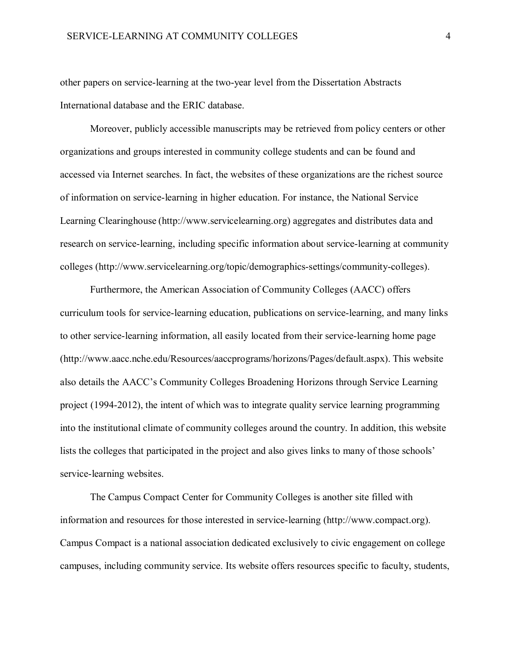other papers on service-learning at the two-year level from the Dissertation Abstracts International database and the ERIC database.

Moreover, publicly accessible manuscripts may be retrieved from policy centers or other organizations and groups interested in community college students and can be found and accessed via Internet searches. In fact, the websites of these organizations are the richest source of information on service-learning in higher education. For instance, the National Service Learning Clearinghouse [\(http://www.servicelearning.org\)](http://www.servicelearning.org/) aggregates and distributes data and research on service-learning, including specific information about service-learning at community colleges [\(http://www.servicelearning.org/topic/demographics-settings/community-colleges\)](http://www.servicelearning.org/topic/demographics-settings/community-colleges).

Furthermore, the American Association of Community Colleges (AACC) offers curriculum tools for service-learning education, publications on service-learning, and many links to other service-learning information, all easily located from their service-learning home page (http://www.aacc.nche.edu/Resources/aaccprograms/horizons/Pages/default.aspx). This website also details the AACC's Community Colleges Broadening Horizons through Service Learning project (1994-2012), the intent of which was to integrate quality service learning programming into the institutional climate of community colleges around the country. In addition, this website lists the colleges that participated in the project and also gives links to many of those schools' service-learning websites.

The Campus Compact Center for Community Colleges is another site filled with information and resources for those interested in service-learning (http://www.compact.org). Campus Compact is a national association dedicated exclusively to civic engagement on college campuses, including community service. Its website offers resources specific to faculty, students,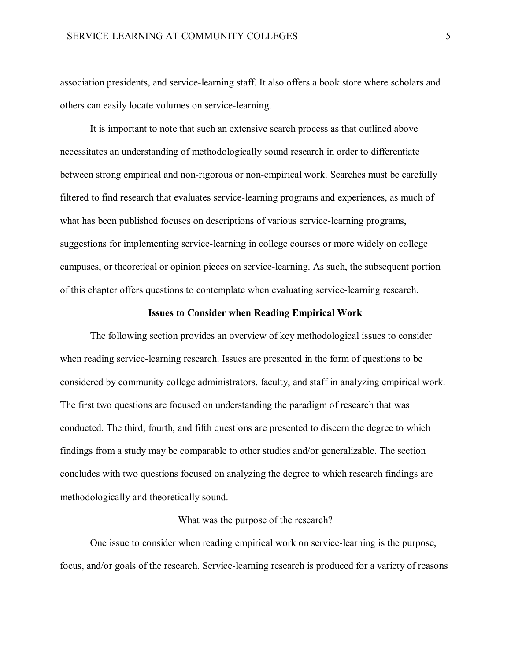association presidents, and service-learning staff. It also offers a book store where scholars and others can easily locate volumes on service-learning.

It is important to note that such an extensive search process as that outlined above necessitates an understanding of methodologically sound research in order to differentiate between strong empirical and non-rigorous or non-empirical work. Searches must be carefully filtered to find research that evaluates service-learning programs and experiences, as much of what has been published focuses on descriptions of various service-learning programs, suggestions for implementing service-learning in college courses or more widely on college campuses, or theoretical or opinion pieces on service-learning. As such, the subsequent portion of this chapter offers questions to contemplate when evaluating service-learning research.

### **Issues to Consider when Reading Empirical Work**

The following section provides an overview of key methodological issues to consider when reading service-learning research. Issues are presented in the form of questions to be considered by community college administrators, faculty, and staff in analyzing empirical work. The first two questions are focused on understanding the paradigm of research that was conducted. The third, fourth, and fifth questions are presented to discern the degree to which findings from a study may be comparable to other studies and/or generalizable. The section concludes with two questions focused on analyzing the degree to which research findings are methodologically and theoretically sound.

## What was the purpose of the research?

One issue to consider when reading empirical work on service-learning is the purpose, focus, and/or goals of the research. Service-learning research is produced for a variety of reasons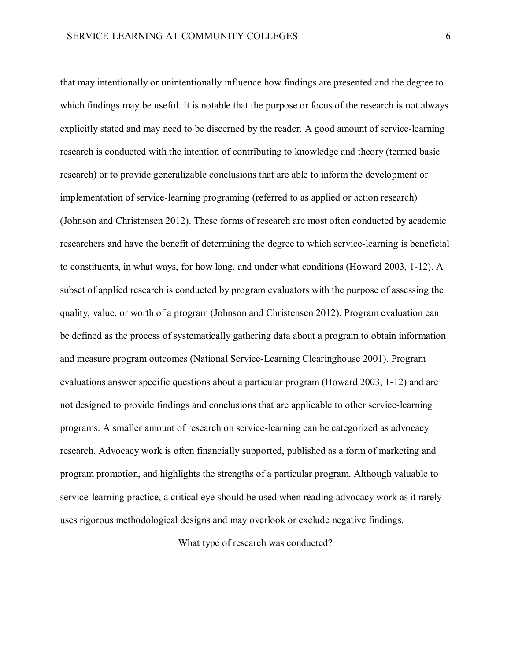that may intentionally or unintentionally influence how findings are presented and the degree to which findings may be useful. It is notable that the purpose or focus of the research is not always explicitly stated and may need to be discerned by the reader. A good amount of service-learning research is conducted with the intention of contributing to knowledge and theory (termed basic research) or to provide generalizable conclusions that are able to inform the development or implementation of service-learning programing (referred to as applied or action research) (Johnson and Christensen 2012). These forms of research are most often conducted by academic researchers and have the benefit of determining the degree to which service-learning is beneficial to constituents, in what ways, for how long, and under what conditions (Howard 2003, 1-12). A subset of applied research is conducted by program evaluators with the purpose of assessing the quality, value, or worth of a program (Johnson and Christensen 2012). Program evaluation can be defined as the process of systematically gathering data about a program to obtain information and measure program outcomes (National Service-Learning Clearinghouse 2001). Program evaluations answer specific questions about a particular program (Howard 2003, 1-12) and are not designed to provide findings and conclusions that are applicable to other service-learning programs. A smaller amount of research on service-learning can be categorized as advocacy research. Advocacy work is often financially supported, published as a form of marketing and program promotion, and highlights the strengths of a particular program. Although valuable to service-learning practice, a critical eye should be used when reading advocacy work as it rarely uses rigorous methodological designs and may overlook or exclude negative findings.

What type of research was conducted?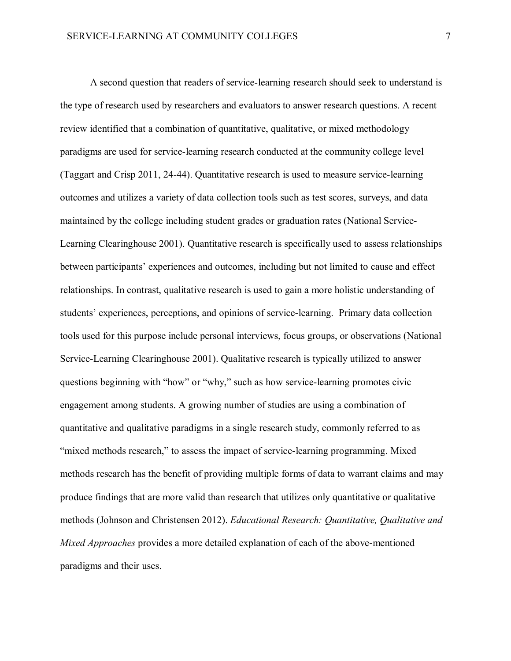A second question that readers of service-learning research should seek to understand is the type of research used by researchers and evaluators to answer research questions. A recent review identified that a combination of quantitative, qualitative, or mixed methodology paradigms are used for service-learning research conducted at the community college level (Taggart and Crisp 2011, 24-44). Quantitative research is used to measure service-learning outcomes and utilizes a variety of data collection tools such as test scores, surveys, and data maintained by the college including student grades or graduation rates (National Service-Learning Clearinghouse 2001). Quantitative research is specifically used to assess relationships between participants' experiences and outcomes, including but not limited to cause and effect relationships. In contrast, qualitative research is used to gain a more holistic understanding of students' experiences, perceptions, and opinions of service-learning. Primary data collection tools used for this purpose include personal interviews, focus groups, or observations (National Service-Learning Clearinghouse 2001). Qualitative research is typically utilized to answer questions beginning with "how" or "why," such as how service-learning promotes civic engagement among students. A growing number of studies are using a combination of quantitative and qualitative paradigms in a single research study, commonly referred to as "mixed methods research," to assess the impact of service-learning programming. Mixed methods research has the benefit of providing multiple forms of data to warrant claims and may produce findings that are more valid than research that utilizes only quantitative or qualitative methods (Johnson and Christensen 2012). *Educational Research: Quantitative, Qualitative and Mixed Approaches* provides a more detailed explanation of each of the above-mentioned paradigms and their uses.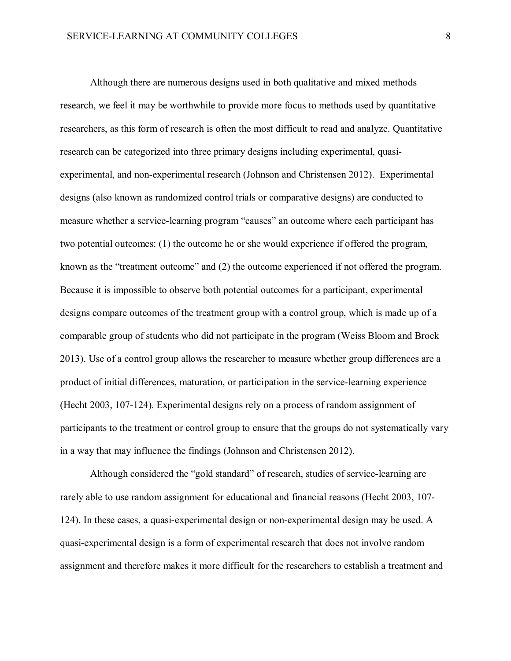Although there are numerous designs used in both qualitative and mixed methods research, we feel it may be worthwhile to provide more focus to methods used by quantitative researchers, as this form of research is often the most difficult to read and analyze. Quantitative research can be categorized into three primary designs including experimental, quasiexperimental, and non-experimental research (Johnson and Christensen 2012). Experimental designs (also known as randomized control trials or comparative designs) are conducted to measure whether a service-learning program "causes" an outcome where each participant has two potential outcomes: (1) the outcome he or she would experience if offered the program, known as the "treatment outcome" and (2) the outcome experienced if not offered the program. Because it is impossible to observe both potential outcomes for a participant, experimental designs compare outcomes of the treatment group with a control group, which is made up of a comparable group of students who did not participate in the program (Weiss Bloom and Brock 2013). Use of a control group allows the researcher to measure whether group differences are a product of initial differences, maturation, or participation in the service-learning experience (Hecht 2003, 107-124). Experimental designs rely on a process of random assignment of participants to the treatment or control group to ensure that the groups do not systematically vary in a way that may influence the findings (Johnson and Christensen 2012).

Although considered the "gold standard" of research, studies of service-learning are rarely able to use random assignment for educational and financial reasons (Hecht 2003, 107- 124). In these cases, a quasi-experimental design or non-experimental design may be used. A quasi-experimental design is a form of experimental research that does not involve random assignment and therefore makes it more difficult for the researchers to establish a treatment and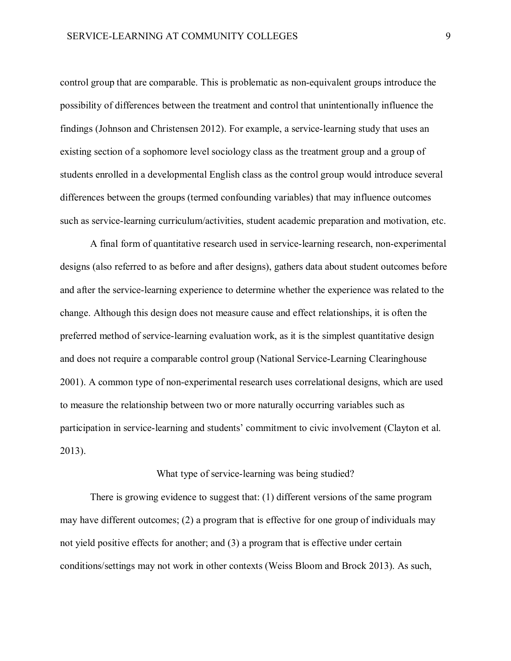control group that are comparable. This is problematic as non-equivalent groups introduce the possibility of differences between the treatment and control that unintentionally influence the findings (Johnson and Christensen 2012). For example, a service-learning study that uses an existing section of a sophomore level sociology class as the treatment group and a group of students enrolled in a developmental English class as the control group would introduce several differences between the groups (termed confounding variables) that may influence outcomes such as service-learning curriculum/activities, student academic preparation and motivation, etc.

A final form of quantitative research used in service-learning research, non-experimental designs (also referred to as before and after designs), gathers data about student outcomes before and after the service-learning experience to determine whether the experience was related to the change. Although this design does not measure cause and effect relationships, it is often the preferred method of service-learning evaluation work, as it is the simplest quantitative design and does not require a comparable control group (National Service-Learning Clearinghouse 2001). A common type of non-experimental research uses correlational designs, which are used to measure the relationship between two or more naturally occurring variables such as participation in service-learning and students' commitment to civic involvement (Clayton et al. 2013).

### What type of service-learning was being studied?

There is growing evidence to suggest that: (1) different versions of the same program may have different outcomes; (2) a program that is effective for one group of individuals may not yield positive effects for another; and (3) a program that is effective under certain conditions/settings may not work in other contexts (Weiss Bloom and Brock 2013). As such,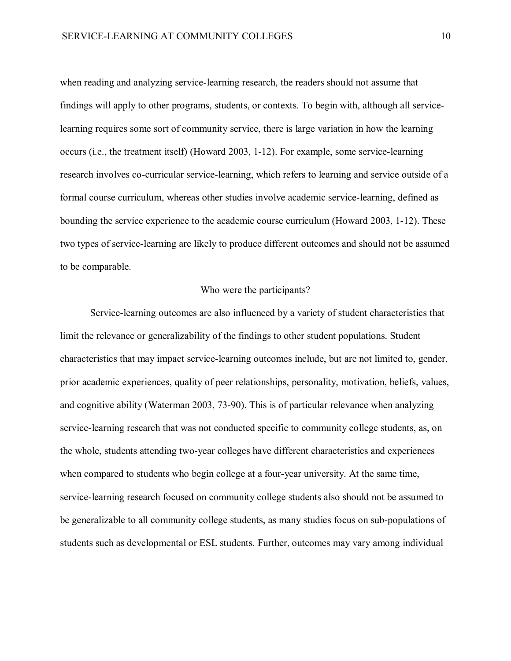when reading and analyzing service-learning research, the readers should not assume that findings will apply to other programs, students, or contexts. To begin with, although all servicelearning requires some sort of community service, there is large variation in how the learning occurs (i.e., the treatment itself) (Howard 2003, 1-12). For example, some service-learning research involves co-curricular service-learning, which refers to learning and service outside of a formal course curriculum, whereas other studies involve academic service-learning, defined as bounding the service experience to the academic course curriculum (Howard 2003, 1-12). These two types of service-learning are likely to produce different outcomes and should not be assumed to be comparable.

# Who were the participants?

Service-learning outcomes are also influenced by a variety of student characteristics that limit the relevance or generalizability of the findings to other student populations. Student characteristics that may impact service-learning outcomes include, but are not limited to, gender, prior academic experiences, quality of peer relationships, personality, motivation, beliefs, values, and cognitive ability (Waterman 2003, 73-90). This is of particular relevance when analyzing service-learning research that was not conducted specific to community college students, as, on the whole, students attending two-year colleges have different characteristics and experiences when compared to students who begin college at a four-year university. At the same time, service-learning research focused on community college students also should not be assumed to be generalizable to all community college students, as many studies focus on sub-populations of students such as developmental or ESL students. Further, outcomes may vary among individual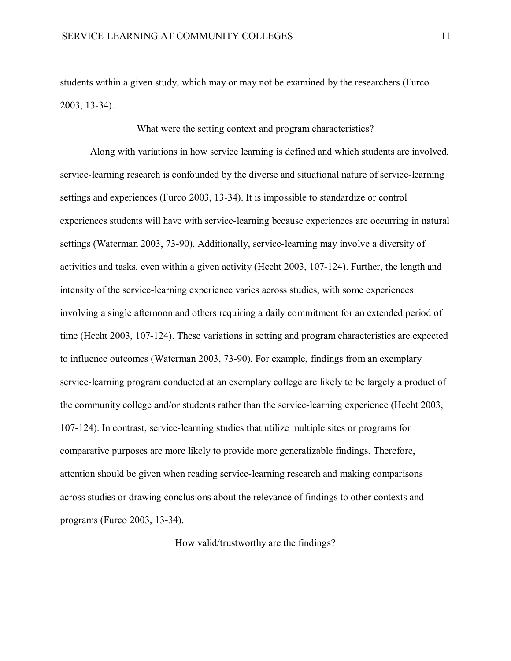students within a given study, which may or may not be examined by the researchers (Furco 2003, 13-34).

What were the setting context and program characteristics?

Along with variations in how service learning is defined and which students are involved, service-learning research is confounded by the diverse and situational nature of service-learning settings and experiences (Furco 2003, 13-34). It is impossible to standardize or control experiences students will have with service-learning because experiences are occurring in natural settings (Waterman 2003, 73-90). Additionally, service-learning may involve a diversity of activities and tasks, even within a given activity (Hecht 2003, 107-124). Further, the length and intensity of the service-learning experience varies across studies, with some experiences involving a single afternoon and others requiring a daily commitment for an extended period of time (Hecht 2003, 107-124). These variations in setting and program characteristics are expected to influence outcomes (Waterman 2003, 73-90). For example, findings from an exemplary service-learning program conducted at an exemplary college are likely to be largely a product of the community college and/or students rather than the service-learning experience (Hecht 2003, 107-124). In contrast, service-learning studies that utilize multiple sites or programs for comparative purposes are more likely to provide more generalizable findings. Therefore, attention should be given when reading service-learning research and making comparisons across studies or drawing conclusions about the relevance of findings to other contexts and programs (Furco 2003, 13-34).

How valid/trustworthy are the findings?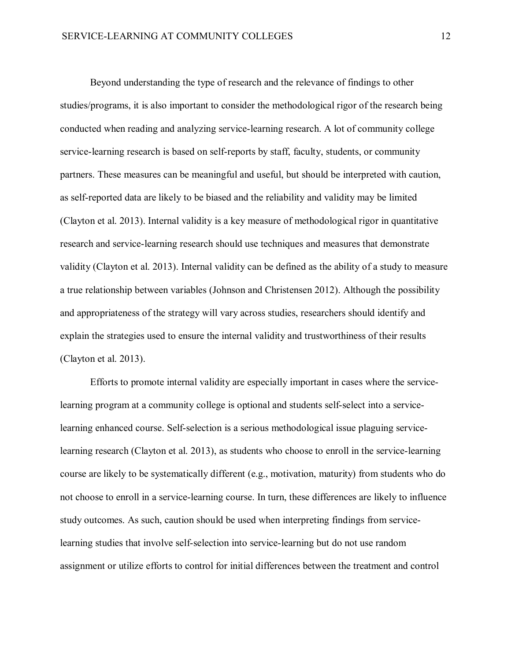Beyond understanding the type of research and the relevance of findings to other studies/programs, it is also important to consider the methodological rigor of the research being conducted when reading and analyzing service-learning research. A lot of community college service-learning research is based on self-reports by staff, faculty, students, or community partners. These measures can be meaningful and useful, but should be interpreted with caution, as self-reported data are likely to be biased and the reliability and validity may be limited (Clayton et al. 2013). Internal validity is a key measure of methodological rigor in quantitative research and service-learning research should use techniques and measures that demonstrate validity (Clayton et al. 2013). Internal validity can be defined as the ability of a study to measure a true relationship between variables (Johnson and Christensen 2012). Although the possibility and appropriateness of the strategy will vary across studies, researchers should identify and explain the strategies used to ensure the internal validity and trustworthiness of their results (Clayton et al. 2013).

Efforts to promote internal validity are especially important in cases where the servicelearning program at a community college is optional and students self-select into a servicelearning enhanced course. Self-selection is a serious methodological issue plaguing servicelearning research (Clayton et al. 2013), as students who choose to enroll in the service-learning course are likely to be systematically different (e.g., motivation, maturity) from students who do not choose to enroll in a service-learning course. In turn, these differences are likely to influence study outcomes. As such, caution should be used when interpreting findings from servicelearning studies that involve self-selection into service-learning but do not use random assignment or utilize efforts to control for initial differences between the treatment and control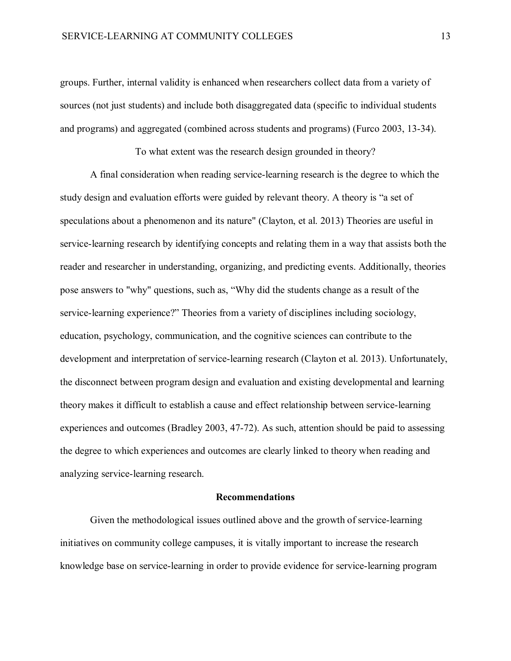groups. Further, internal validity is enhanced when researchers collect data from a variety of sources (not just students) and include both disaggregated data (specific to individual students and programs) and aggregated (combined across students and programs) (Furco 2003, 13-34).

To what extent was the research design grounded in theory?

A final consideration when reading service-learning research is the degree to which the study design and evaluation efforts were guided by relevant theory. A theory is "a set of speculations about a phenomenon and its nature" (Clayton, et al. 2013) Theories are useful in service-learning research by identifying concepts and relating them in a way that assists both the reader and researcher in understanding, organizing, and predicting events. Additionally, theories pose answers to "why" questions, such as, "Why did the students change as a result of the service-learning experience?" Theories from a variety of disciplines including sociology, education, psychology, communication, and the cognitive sciences can contribute to the development and interpretation of service-learning research (Clayton et al. 2013). Unfortunately, the disconnect between program design and evaluation and existing developmental and learning theory makes it difficult to establish a cause and effect relationship between service-learning experiences and outcomes (Bradley 2003, 47-72). As such, attention should be paid to assessing the degree to which experiences and outcomes are clearly linked to theory when reading and analyzing service-learning research.

## **Recommendations**

Given the methodological issues outlined above and the growth of service-learning initiatives on community college campuses, it is vitally important to increase the research knowledge base on service-learning in order to provide evidence for service-learning program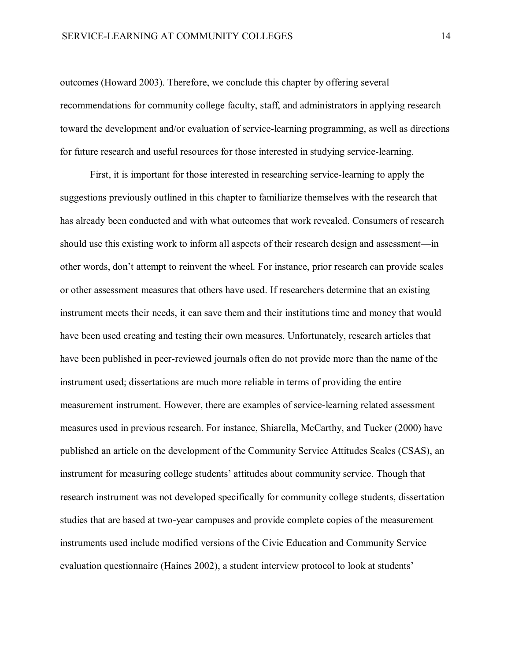outcomes (Howard 2003). Therefore, we conclude this chapter by offering several recommendations for community college faculty, staff, and administrators in applying research toward the development and/or evaluation of service-learning programming, as well as directions for future research and useful resources for those interested in studying service-learning.

First, it is important for those interested in researching service-learning to apply the suggestions previously outlined in this chapter to familiarize themselves with the research that has already been conducted and with what outcomes that work revealed. Consumers of research should use this existing work to inform all aspects of their research design and assessment—in other words, don't attempt to reinvent the wheel. For instance, prior research can provide scales or other assessment measures that others have used. If researchers determine that an existing instrument meets their needs, it can save them and their institutions time and money that would have been used creating and testing their own measures. Unfortunately, research articles that have been published in peer-reviewed journals often do not provide more than the name of the instrument used; dissertations are much more reliable in terms of providing the entire measurement instrument. However, there are examples of service-learning related assessment measures used in previous research. For instance, Shiarella, McCarthy, and Tucker (2000) have published an article on the development of the Community Service Attitudes Scales (CSAS), an instrument for measuring college students' attitudes about community service. Though that research instrument was not developed specifically for community college students, dissertation studies that are based at two-year campuses and provide complete copies of the measurement instruments used include modified versions of the Civic Education and Community Service evaluation questionnaire (Haines 2002), a student interview protocol to look at students'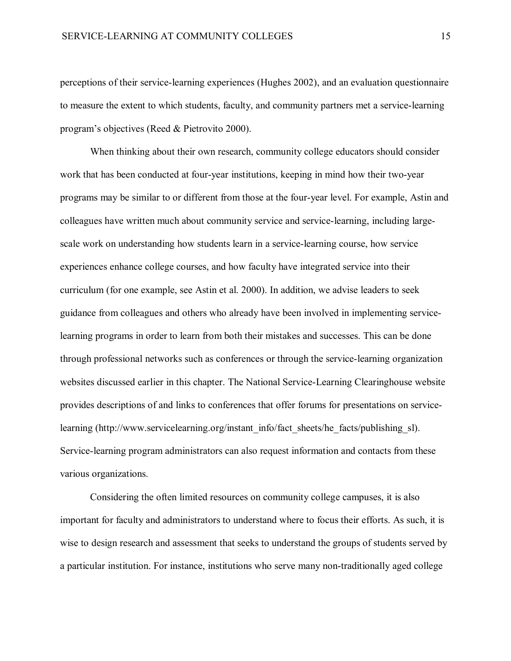perceptions of their service-learning experiences (Hughes 2002), and an evaluation questionnaire to measure the extent to which students, faculty, and community partners met a service-learning program's objectives (Reed & Pietrovito 2000).

When thinking about their own research, community college educators should consider work that has been conducted at four-year institutions, keeping in mind how their two-year programs may be similar to or different from those at the four-year level. For example, Astin and colleagues have written much about community service and service-learning, including largescale work on understanding how students learn in a service-learning course, how service experiences enhance college courses, and how faculty have integrated service into their curriculum (for one example, see Astin et al. 2000). In addition, we advise leaders to seek guidance from colleagues and others who already have been involved in implementing servicelearning programs in order to learn from both their mistakes and successes. This can be done through professional networks such as conferences or through the service-learning organization websites discussed earlier in this chapter. The National Service-Learning Clearinghouse website provides descriptions of and links to conferences that offer forums for presentations on service-learning [\(http://www.servicelearning.org/instant\\_info/fact\\_sheets/he\\_facts/publishing\\_sl\)](http://www.servicelearning.org/instant_info/fact_sheets/he_facts/publishing_sl). Service-learning program administrators can also request information and contacts from these various organizations.

Considering the often limited resources on community college campuses, it is also important for faculty and administrators to understand where to focus their efforts. As such, it is wise to design research and assessment that seeks to understand the groups of students served by a particular institution. For instance, institutions who serve many non-traditionally aged college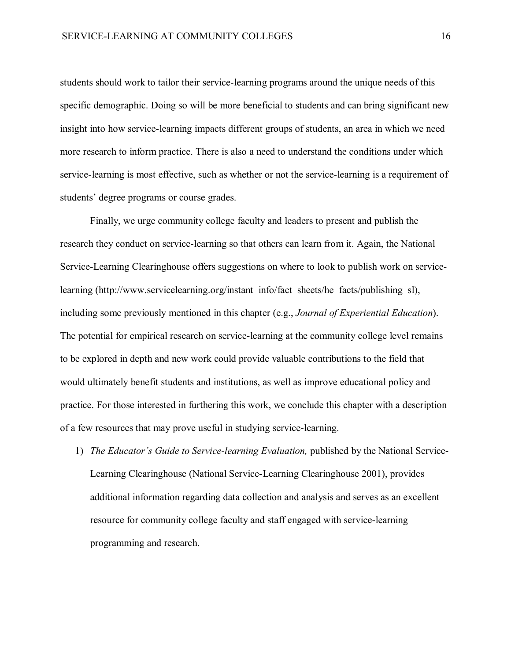students should work to tailor their service-learning programs around the unique needs of this specific demographic. Doing so will be more beneficial to students and can bring significant new insight into how service-learning impacts different groups of students, an area in which we need more research to inform practice. There is also a need to understand the conditions under which service-learning is most effective, such as whether or not the service-learning is a requirement of students' degree programs or course grades.

Finally, we urge community college faculty and leaders to present and publish the research they conduct on service-learning so that others can learn from it. Again, the National Service-Learning Clearinghouse offers suggestions on where to look to publish work on service-learning [\(http://www.servicelearning.org/instant\\_info/fact\\_sheets/he\\_facts/publishing\\_sl\)](http://www.servicelearning.org/instant_info/fact_sheets/he_facts/publishing_sl), including some previously mentioned in this chapter (e.g., *Journal of Experiential Education*). The potential for empirical research on service-learning at the community college level remains to be explored in depth and new work could provide valuable contributions to the field that would ultimately benefit students and institutions, as well as improve educational policy and practice. For those interested in furthering this work, we conclude this chapter with a description of a few resources that may prove useful in studying service-learning.

1) *The Educator's Guide to Service-learning Evaluation,* published by the National Service-Learning Clearinghouse (National Service-Learning Clearinghouse 2001), provides additional information regarding data collection and analysis and serves as an excellent resource for community college faculty and staff engaged with service-learning programming and research.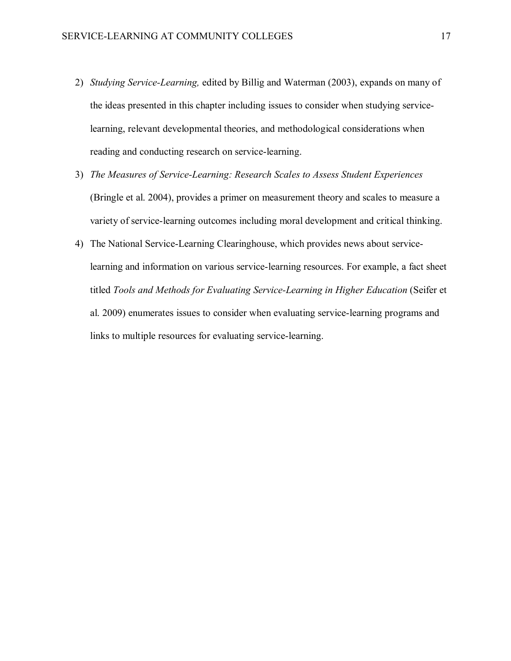- 2) *Studying Service-Learning,* edited by Billig and Waterman (2003), expands on many of the ideas presented in this chapter including issues to consider when studying servicelearning, relevant developmental theories, and methodological considerations when reading and conducting research on service-learning.
- 3) *The Measures of Service-Learning: Research Scales to Assess Student Experiences* (Bringle et al. 2004), provides a primer on measurement theory and scales to measure a variety of service-learning outcomes including moral development and critical thinking.
- 4) The National Service-Learning Clearinghouse, which provides news about servicelearning and information on various service-learning resources. For example, a fact sheet titled *Tools and Methods for Evaluating Service-Learning in Higher Education* (Seifer et al. 2009) enumerates issues to consider when evaluating service-learning programs and links to multiple resources for evaluating service-learning.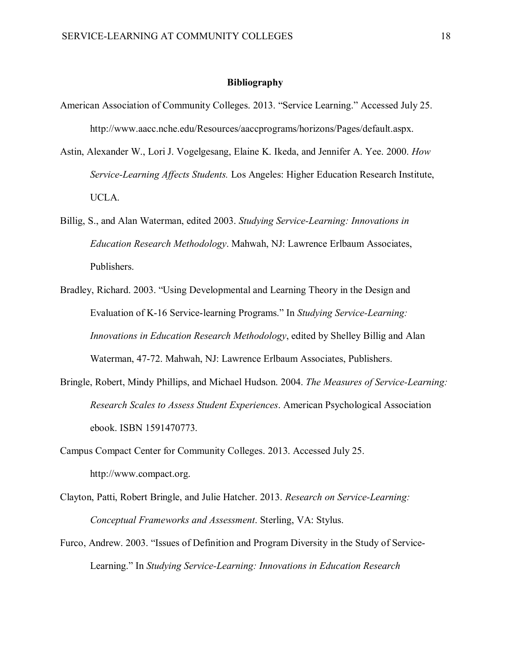### **Bibliography**

- American Association of Community Colleges. 2013. "Service Learning." Accessed July 25. http://www.aacc.nche.edu/Resources/aaccprograms/horizons/Pages/default.aspx.
- Astin, Alexander W., Lori J. Vogelgesang, Elaine K. Ikeda, and Jennifer A. Yee. 2000. *How Service-Learning Affects Students.* Los Angeles: Higher Education Research Institute, UCLA.
- Billig, S., and Alan Waterman, edited 2003. *Studying Service-Learning: Innovations in Education Research Methodology*. Mahwah, NJ: Lawrence Erlbaum Associates, Publishers.
- Bradley, Richard. 2003. "Using Developmental and Learning Theory in the Design and Evaluation of K-16 Service-learning Programs." In *Studying Service-Learning: Innovations in Education Research Methodology*, edited by Shelley Billig and Alan Waterman, 47-72. Mahwah, NJ: Lawrence Erlbaum Associates, Publishers.
- Bringle, Robert, Mindy Phillips, and Michael Hudson. 2004. *The Measures of Service-Learning: Research Scales to Assess Student Experiences*. American Psychological Association ebook. ISBN 1591470773.
- Campus Compact Center for Community Colleges. 2013. Accessed July 25. http://www.compact.org.
- Clayton, Patti, Robert Bringle, and Julie Hatcher. 2013. *Research on Service-Learning: Conceptual Frameworks and Assessment*. Sterling, VA: Stylus.
- Furco, Andrew. 2003. "Issues of Definition and Program Diversity in the Study of Service-Learning." In *Studying Service-Learning: Innovations in Education Research*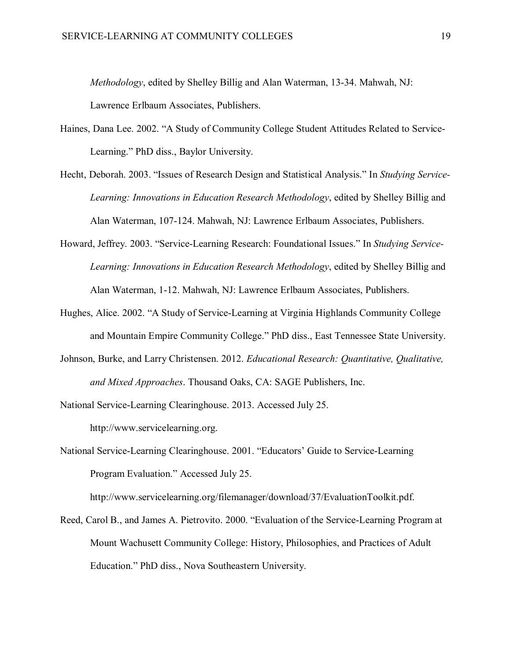*Methodology*, edited by Shelley Billig and Alan Waterman, 13-34. Mahwah, NJ:

Lawrence Erlbaum Associates, Publishers.

- Haines, Dana Lee. 2002. "A Study of Community College Student Attitudes Related to Service-Learning." PhD diss., Baylor University.
- Hecht, Deborah. 2003. "Issues of Research Design and Statistical Analysis." In *Studying Service-Learning: Innovations in Education Research Methodology*, edited by Shelley Billig and Alan Waterman, 107-124. Mahwah, NJ: Lawrence Erlbaum Associates, Publishers.
- Howard, Jeffrey. 2003. "Service-Learning Research: Foundational Issues." In *Studying Service-Learning: Innovations in Education Research Methodology*, edited by Shelley Billig and Alan Waterman, 1-12. Mahwah, NJ: Lawrence Erlbaum Associates, Publishers.
- Hughes, Alice. 2002. "A Study of Service-Learning at Virginia Highlands Community College and Mountain Empire Community College." PhD diss., East Tennessee State University.
- Johnson, Burke, and Larry Christensen. 2012. *Educational Research: Quantitative, Qualitative, and Mixed Approaches*. Thousand Oaks, CA: SAGE Publishers, Inc.
- National Service-Learning Clearinghouse. 2013. Accessed July 25. http://www.servicelearning.org.
- National Service-Learning Clearinghouse. 2001. "Educators' Guide to Service-Learning Program Evaluation." Accessed July 25.

[http://www.servicelearning.org/filemanager/download/37/EvaluationToolkit.pdf.](http://www.servicelearning.org/filemanager/download/37/EvaluationToolkit.pdf)

Reed, Carol B., and James A. Pietrovito. 2000. "Evaluation of the Service-Learning Program at Mount Wachusett Community College: History, Philosophies, and Practices of Adult Education." PhD diss., Nova Southeastern University.